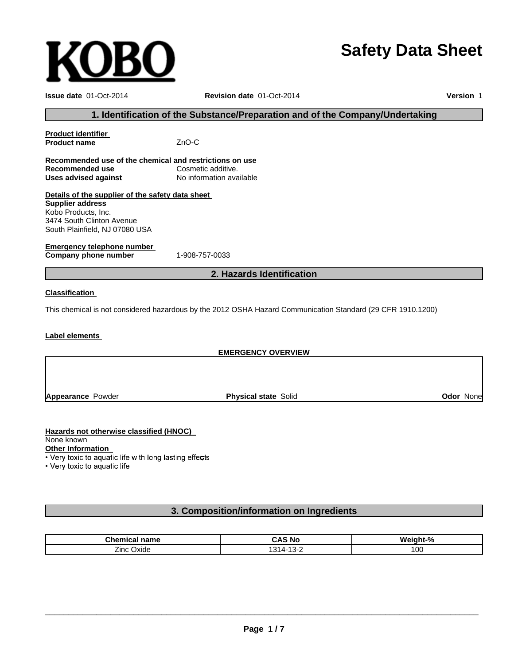# **Safety Data Sheet**

| <b>Issue date 01-Oct-2014</b>                           | Revision date 01-Oct-2014                                                                                   |                  |
|---------------------------------------------------------|-------------------------------------------------------------------------------------------------------------|------------------|
|                                                         | 1. Identification of the Substance/Preparation and of the Company/Undertaking                               |                  |
| <b>Product identifier</b>                               |                                                                                                             |                  |
| <b>Product name</b>                                     | ZnO-C                                                                                                       |                  |
| Recommended use of the chemical and restrictions on use |                                                                                                             |                  |
| Recommended use                                         | Cosmetic additive.                                                                                          |                  |
| <b>Uses advised against</b>                             | No information available                                                                                    |                  |
| Details of the supplier of the safety data sheet        |                                                                                                             |                  |
| <b>Supplier address</b>                                 |                                                                                                             |                  |
| Kobo Products, Inc.                                     |                                                                                                             |                  |
| 3474 South Clinton Avenue                               |                                                                                                             |                  |
| South Plainfield, NJ 07080 USA                          |                                                                                                             |                  |
| <b>Emergency telephone number</b>                       |                                                                                                             |                  |
| Company phone number                                    | 1-908-757-0033                                                                                              |                  |
|                                                         | 2. Hazards Identification                                                                                   |                  |
| <b>Classification</b>                                   |                                                                                                             |                  |
|                                                         | This chemical is not considered hazardous by the 2012 OSHA Hazard Communication Standard (29 CFR 1910.1200) |                  |
| Label elements                                          |                                                                                                             |                  |
|                                                         | <b>EMERGENCY OVERVIEW</b>                                                                                   |                  |
|                                                         |                                                                                                             |                  |
|                                                         |                                                                                                             |                  |
| <b>Appearance Powder</b>                                | <b>Physical state Solid</b>                                                                                 | <b>Odor None</b> |

# **Hazards not otherwise classified (HNOC)**

**KOBO** 

None known

**Other Information**

• Very toxic to aquatic life

# **3. Composition/information on Ingredients**

| <b>Chemic.</b><br>name<br>nical | CAS No                 | Weinht-<br>$\mathbf{r}$<br>`70 |
|---------------------------------|------------------------|--------------------------------|
| --<br>Oxide<br>∠inc             | . .<br>∵ "ان ا<br>ے-د⊥ | 00 ا                           |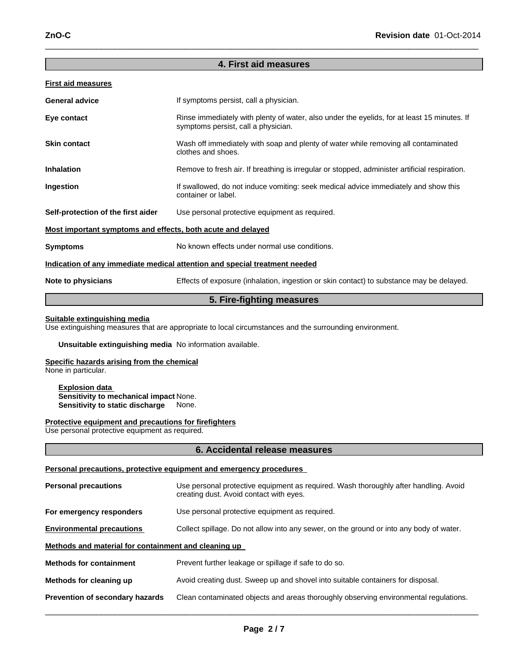# **4. First aid measures**

 $\_$  , and the set of the set of the set of the set of the set of the set of the set of the set of the set of the set of the set of the set of the set of the set of the set of the set of the set of the set of the set of th

### **First aid measures**

| <b>General advice</b>                                       | If symptoms persist, call a physician.                                                                                             |  |
|-------------------------------------------------------------|------------------------------------------------------------------------------------------------------------------------------------|--|
| Eye contact                                                 | Rinse immediately with plenty of water, also under the eyelids, for at least 15 minutes. If<br>symptoms persist, call a physician. |  |
| <b>Skin contact</b>                                         | Wash off immediately with soap and plenty of water while removing all contaminated<br>clothes and shoes.                           |  |
| <b>Inhalation</b>                                           | Remove to fresh air. If breathing is irregular or stopped, administer artificial respiration.                                      |  |
| Ingestion                                                   | If swallowed, do not induce vomiting: seek medical advice immediately and show this<br>container or label.                         |  |
| Self-protection of the first aider                          | Use personal protective equipment as required.                                                                                     |  |
| Most important symptoms and effects, both acute and delayed |                                                                                                                                    |  |
| <b>Symptoms</b>                                             | No known effects under normal use conditions.                                                                                      |  |
|                                                             | Indication of any immediate medical attention and special treatment needed                                                         |  |
| Note to physicians                                          | Effects of exposure (inhalation, ingestion or skin contact) to substance may be delayed.                                           |  |

# **5. Fire-fighting measures**

### **Suitable extinguishing media**

Use extinguishing measures that are appropriate to local circumstances and the surrounding environment.

### **Unsuitable extinguishing media** No information available.

# **Specific hazards arising from the chemical**

None in particular.

#### **Explosion data Sensitivity to mechanical impact** None. **Sensitivity to static discharge** None.

#### **Protective equipment and precautions for firefighters**

Use personal protective equipment as required.

#### **6. Accidental release measures**

#### **Personal precautions, protective equipment and emergency procedures**

| <b>Personal precautions</b>                          | Use personal protective equipment as required. Wash thoroughly after handling. Avoid<br>creating dust. Avoid contact with eyes. |  |  |
|------------------------------------------------------|---------------------------------------------------------------------------------------------------------------------------------|--|--|
| For emergency responders                             | Use personal protective equipment as required.                                                                                  |  |  |
| <b>Environmental precautions</b>                     | Collect spillage. Do not allow into any sewer, on the ground or into any body of water.                                         |  |  |
| Methods and material for containment and cleaning up |                                                                                                                                 |  |  |
| <b>Methods for containment</b>                       | Prevent further leakage or spillage if safe to do so.                                                                           |  |  |
| Methods for cleaning up                              | Avoid creating dust. Sweep up and shovel into suitable containers for disposal.                                                 |  |  |
| Prevention of secondary hazards                      | Clean contaminated objects and areas thoroughly observing environmental regulations.                                            |  |  |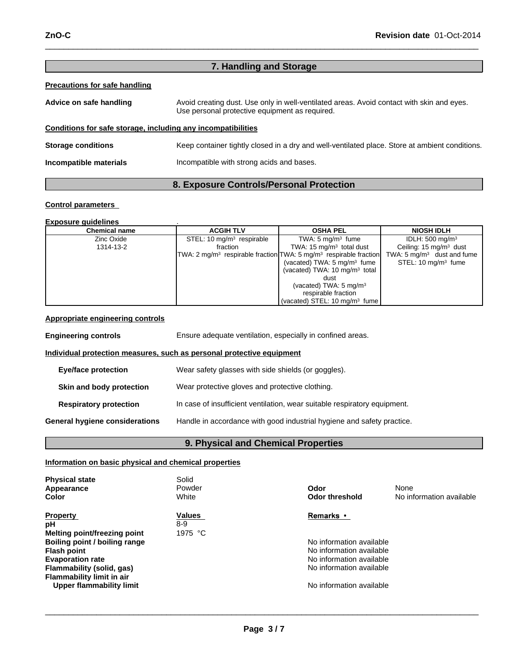| 7. Handling and Storage                                      |                                                                                                                                             |  |  |
|--------------------------------------------------------------|---------------------------------------------------------------------------------------------------------------------------------------------|--|--|
| Precautions for safe handling                                |                                                                                                                                             |  |  |
| Advice on safe handling                                      | Avoid creating dust. Use only in well-ventilated areas. Avoid contact with skin and eyes.<br>Use personal protective equipment as required. |  |  |
| Conditions for safe storage, including any incompatibilities |                                                                                                                                             |  |  |
| <b>Storage conditions</b>                                    | Keep container tightly closed in a dry and well-ventilated place. Store at ambient conditions.                                              |  |  |
| Incompatible materials                                       | Incompatible with strong acids and bases.                                                                                                   |  |  |

 $\_$  , and the set of the set of the set of the set of the set of the set of the set of the set of the set of the set of the set of the set of the set of the set of the set of the set of the set of the set of the set of th

# **8. Exposure Controls/Personal Protection**

# **Control parameters**

#### **Exposure guidelines** .

| <b>Chemical name</b> | <b>OSHA PEL</b><br><b>ACGIH TLV</b> |                                                                                           | <b>NIOSH IDLH</b>                     |
|----------------------|-------------------------------------|-------------------------------------------------------------------------------------------|---------------------------------------|
| Zinc Oxide           | STEL: 10 $mg/m3$ respirable         | TWA: $5 \text{ mg/m}^3$ fume                                                              | IDLH: $500 \text{ mg/m}^3$            |
| 1314-13-2            | fraction                            | TWA: $15 \text{ mg/m}^3$ total dust                                                       | Ceiling: $15 \text{ mg/m}^3$ dust     |
|                      |                                     | TWA: 2 mg/m <sup>3</sup> respirable fraction TWA: 5 mg/m <sup>3</sup> respirable fraction | TWA: $5 \text{ mg/m}^3$ dust and fume |
|                      |                                     | (vacated) TWA: $5 \text{ mg/m}^3$ fume                                                    | STEL: 10 mg/m <sup>3</sup> fume       |
|                      |                                     | (vacated) TWA: $10 \text{ mg/m}^3$ total                                                  |                                       |
|                      |                                     | dust                                                                                      |                                       |
|                      |                                     | (vacated) TWA: $5 \text{ mg/m}^3$                                                         |                                       |
|                      |                                     | respirable fraction                                                                       |                                       |
|                      |                                     | (vacated) STEL: 10 mg/m <sup>3</sup> fume                                                 |                                       |

### **Appropriate engineering controls**

| <b>Engineering controls</b>                                                  | Ensure adequate ventilation, especially in confined areas.                |  |  |
|------------------------------------------------------------------------------|---------------------------------------------------------------------------|--|--|
| <u>Individual protection measures, such as personal protective equipment</u> |                                                                           |  |  |
| <b>Eye/face protection</b>                                                   | Wear safety glasses with side shields (or goggles).                       |  |  |
| Skin and body protection                                                     | Wear protective gloves and protective clothing.                           |  |  |
| <b>Respiratory protection</b>                                                | In case of insufficient ventilation, wear suitable respiratory equipment. |  |  |
| General hygiene considerations                                               | Handle in accordance with good industrial hygiene and safety practice.    |  |  |

# **9. Physical and Chemical Properties**

# **Information on basic physical and chemical properties**

| <b>Physical state</b><br>Appearance<br>Color                                                                                                                                                                                         | Solid<br>Powder<br>White        | Odor<br><b>Odor threshold</b>                                                                                                                         | None<br>No information available |
|--------------------------------------------------------------------------------------------------------------------------------------------------------------------------------------------------------------------------------------|---------------------------------|-------------------------------------------------------------------------------------------------------------------------------------------------------|----------------------------------|
| <b>Property</b><br>рH<br>Melting point/freezing point<br>Boiling point / boiling range<br><b>Flash point</b><br><b>Evaporation rate</b><br>Flammability (solid, gas)<br><b>Flammability limit in air</b><br>Upper flammability limit | <b>Values</b><br>8-9<br>1975 °C | Remarks •<br>No information available<br>No information available<br>No information available<br>No information available<br>No information available |                                  |

 $\_$  ,  $\_$  ,  $\_$  ,  $\_$  ,  $\_$  ,  $\_$  ,  $\_$  ,  $\_$  ,  $\_$  ,  $\_$  ,  $\_$  ,  $\_$  ,  $\_$  ,  $\_$  ,  $\_$  ,  $\_$  ,  $\_$  ,  $\_$  ,  $\_$  ,  $\_$  ,  $\_$  ,  $\_$  ,  $\_$  ,  $\_$  ,  $\_$  ,  $\_$  ,  $\_$  ,  $\_$  ,  $\_$  ,  $\_$  ,  $\_$  ,  $\_$  ,  $\_$  ,  $\_$  ,  $\_$  ,  $\_$  ,  $\_$  ,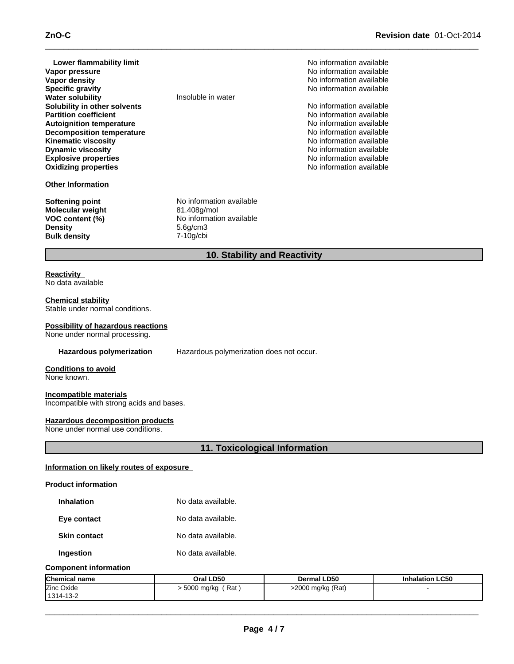# **ZnO-C** Revision date 01-Oct-2014

| Lower flammability limit<br>Vapor pressure<br>Vapor density<br><b>Specific gravity</b><br><b>Water solubility</b><br>Solubility in other solvents<br><b>Partition coefficient</b><br><b>Autoignition temperature</b><br><b>Decomposition temperature</b><br><b>Kinematic viscosity</b><br><b>Dynamic viscosity</b><br><b>Explosive properties</b><br><b>Oxidizing properties</b>                                     | Insoluble in water                                                                           | No information available<br>No information available<br>No information available<br>No information available<br>No information available<br>No information available<br>No information available<br>No information available<br>No information available<br>No information available<br>No information available<br>No information available |  |
|----------------------------------------------------------------------------------------------------------------------------------------------------------------------------------------------------------------------------------------------------------------------------------------------------------------------------------------------------------------------------------------------------------------------|----------------------------------------------------------------------------------------------|----------------------------------------------------------------------------------------------------------------------------------------------------------------------------------------------------------------------------------------------------------------------------------------------------------------------------------------------|--|
| <b>Other Information</b>                                                                                                                                                                                                                                                                                                                                                                                             |                                                                                              |                                                                                                                                                                                                                                                                                                                                              |  |
| <b>Softening point</b><br>Molecular weight<br>VOC content (%)<br><b>Density</b><br><b>Bulk density</b>                                                                                                                                                                                                                                                                                                               | No information available<br>81.408g/mol<br>No information available<br>5.6g/cm3<br>7-10g/cbi |                                                                                                                                                                                                                                                                                                                                              |  |
|                                                                                                                                                                                                                                                                                                                                                                                                                      | 10. Stability and Reactivity                                                                 |                                                                                                                                                                                                                                                                                                                                              |  |
| <b>Reactivity</b><br>No data available<br><b>Chemical stability</b><br>Stable under normal conditions.<br><b>Possibility of hazardous reactions</b><br>None under normal processing.<br>Hazardous polymerization<br><b>Conditions to avoid</b><br>None known.<br>Incompatible materials<br>Incompatible with strong acids and bases.<br><b>Hazardous decomposition products</b><br>None under normal use conditions. | Hazardous polymerization does not occur.<br>11. Toxicological Information                    |                                                                                                                                                                                                                                                                                                                                              |  |
|                                                                                                                                                                                                                                                                                                                                                                                                                      |                                                                                              |                                                                                                                                                                                                                                                                                                                                              |  |
| Information on likely routes of exposure                                                                                                                                                                                                                                                                                                                                                                             |                                                                                              |                                                                                                                                                                                                                                                                                                                                              |  |
| <b>Product information</b>                                                                                                                                                                                                                                                                                                                                                                                           |                                                                                              |                                                                                                                                                                                                                                                                                                                                              |  |
| <b>Inhalation</b>                                                                                                                                                                                                                                                                                                                                                                                                    | No data available.                                                                           |                                                                                                                                                                                                                                                                                                                                              |  |
| Eye contact                                                                                                                                                                                                                                                                                                                                                                                                          | No data available.                                                                           |                                                                                                                                                                                                                                                                                                                                              |  |
| <b>Skin contact</b>                                                                                                                                                                                                                                                                                                                                                                                                  | No data available.                                                                           |                                                                                                                                                                                                                                                                                                                                              |  |
| Ingestion                                                                                                                                                                                                                                                                                                                                                                                                            | No data available.                                                                           |                                                                                                                                                                                                                                                                                                                                              |  |
| <b>Component information</b>                                                                                                                                                                                                                                                                                                                                                                                         |                                                                                              |                                                                                                                                                                                                                                                                                                                                              |  |

| <b>Chemical name</b> | Oral LD50               | <b>Dermal LD50</b> | <b>Inhalation LC50</b> |
|----------------------|-------------------------|--------------------|------------------------|
| Zinc Oxide           | ، Rat '<br>. 5000 mg/kg | >2000 mg/kg (Rat)  |                        |
| 1314-13-2            |                         |                    |                        |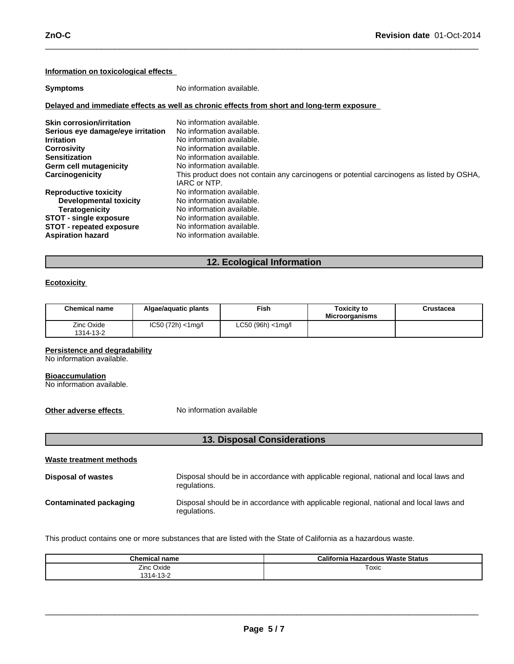### **Information on toxicological effects**

| <b>Symptoms</b>                                                                                                                                                                       | No information available.                                                                                                                                                                                                                                               |  |  |
|---------------------------------------------------------------------------------------------------------------------------------------------------------------------------------------|-------------------------------------------------------------------------------------------------------------------------------------------------------------------------------------------------------------------------------------------------------------------------|--|--|
|                                                                                                                                                                                       | Delayed and immediate effects as well as chronic effects from short and long-term exposure                                                                                                                                                                              |  |  |
| <b>Skin corrosion/irritation</b><br>Serious eye damage/eye irritation<br><b>Irritation</b><br><b>Corrosivity</b><br><b>Sensitization</b><br>Germ cell mutagenicity<br>Carcinogenicity | No information available.<br>No information available.<br>No information available.<br>No information available.<br>No information available.<br>No information available.<br>This product does not contain any carcinogens or potential carcinogens as listed by OSHA, |  |  |
| <b>Reproductive toxicity</b><br>Developmental toxicity<br><b>Teratogenicity</b><br><b>STOT - single exposure</b><br>STOT - repeated exposure<br><b>Aspiration hazard</b>              | IARC or NTP.<br>No information available.<br>No information available.<br>No information available.<br>No information available.<br>No information available.<br>No information available.                                                                              |  |  |

 $\_$  , and the set of the set of the set of the set of the set of the set of the set of the set of the set of the set of the set of the set of the set of the set of the set of the set of the set of the set of the set of th

# **12. Ecological Information**

### **Ecotoxicity**

| <b>Chemical name</b>    | Algae/aquatic plants  | Fish⊣                  | <b>Toxicity to</b><br><b>Microorganisms</b> | Crustacea |
|-------------------------|-----------------------|------------------------|---------------------------------------------|-----------|
| Zinc Oxide<br>1314-13-2 | $IC50 (72h) < 1$ mg/l | $LC50$ (96h) $<$ 1mg/l |                                             |           |

### **Persistence and degradability**

No information available.

#### **Bioaccumulation**

No information available.

**Other adverse effects** No information available

| <b>13. Disposal Considerations</b> |                                                                                                        |  |  |
|------------------------------------|--------------------------------------------------------------------------------------------------------|--|--|
| <b>Waste treatment methods</b>     |                                                                                                        |  |  |
| <b>Disposal of wastes</b>          | Disposal should be in accordance with applicable regional, national and local laws and<br>regulations. |  |  |
| Contaminated packaging             | Disposal should be in accordance with applicable regional, national and local laws and<br>regulations. |  |  |

This product contains one or more substances that are listed with the State of California as a hazardous waste.

| <b>Chemical name</b> | California Hazardous Waste Status |
|----------------------|-----------------------------------|
| Zinc Oxide           | Toxic<br>$\sim$ $\sim$            |
| 1314-13-2            |                                   |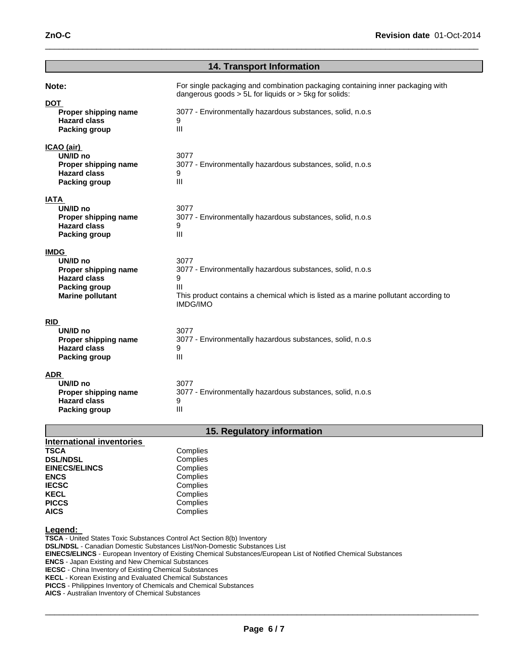| <b>14. Transport Information</b>                                                                                          |                                                                                                                                                                                                                    |  |
|---------------------------------------------------------------------------------------------------------------------------|--------------------------------------------------------------------------------------------------------------------------------------------------------------------------------------------------------------------|--|
| Note:<br><b>DOT</b><br>Proper shipping name<br><b>Hazard class</b><br><b>Packing group</b>                                | For single packaging and combination packaging containing inner packaging with<br>dangerous goods $> 5L$ for liquids or $> 5kg$ for solids:<br>3077 - Environmentally hazardous substances, solid, n.o.s<br>9<br>Ш |  |
| ICAO (air)<br>UN/ID no<br>Proper shipping name<br><b>Hazard class</b><br><b>Packing group</b>                             | 3077<br>3077 - Environmentally hazardous substances, solid, n.o.s<br>9<br>$\mathbf{III}$                                                                                                                           |  |
| <b>IATA</b><br>UN/ID no<br>Proper shipping name<br><b>Hazard class</b><br><b>Packing group</b>                            | 3077<br>3077 - Environmentally hazardous substances, solid, n.o.s<br>9<br>III                                                                                                                                      |  |
| <b>IMDG</b><br>UN/ID no<br>Proper shipping name<br><b>Hazard class</b><br><b>Packing group</b><br><b>Marine pollutant</b> | 3077<br>3077 - Environmentally hazardous substances, solid, n.o.s<br>9<br>Ш<br>This product contains a chemical which is listed as a marine pollutant according to<br><b>IMDG/IMO</b>                              |  |
| <b>RID</b><br>UN/ID no<br>Proper shipping name<br><b>Hazard class</b><br><b>Packing group</b>                             | 3077<br>3077 - Environmentally hazardous substances, solid, n.o.s<br>9<br>III                                                                                                                                      |  |
| <b>ADR</b><br>UN/ID no<br>Proper shipping name<br><b>Hazard class</b><br><b>Packing group</b>                             | 3077<br>3077 - Environmentally hazardous substances, solid, n.o.s<br>9<br>$\mathbf{III}$                                                                                                                           |  |

 $\_$  , and the set of the set of the set of the set of the set of the set of the set of the set of the set of the set of the set of the set of the set of the set of the set of the set of the set of the set of the set of th

# **15. Regulatory information**

| <b>International inventories</b> |          |
|----------------------------------|----------|
| <b>TSCA</b>                      | Complies |
| <b>DSL/NDSL</b>                  | Complies |
| <b>EINECS/ELINCS</b>             | Complies |
| <b>ENCS</b>                      | Complies |
| <b>IECSC</b>                     | Complies |
| <b>KECL</b>                      | Complies |
| <b>PICCS</b>                     | Complies |
| <b>AICS</b>                      | Complies |

# **Legend:**

**TSCA** - United States Toxic Substances Control Act Section 8(b) Inventory **DSL/NDSL** - Canadian Domestic Substances List/Non-Domestic Substances List **EINECS/ELINCS** - European Inventory of Existing Chemical Substances/European List of Notified Chemical Substances **ENCS** - Japan Existing and New Chemical Substances **IECSC** - China Inventory of Existing Chemical Substances

**KECL** - Korean Existing and Evaluated Chemical Substances

**PICCS** - Philippines Inventory of Chemicals and Chemical Substances

**AICS** - Australian Inventory of Chemical Substances